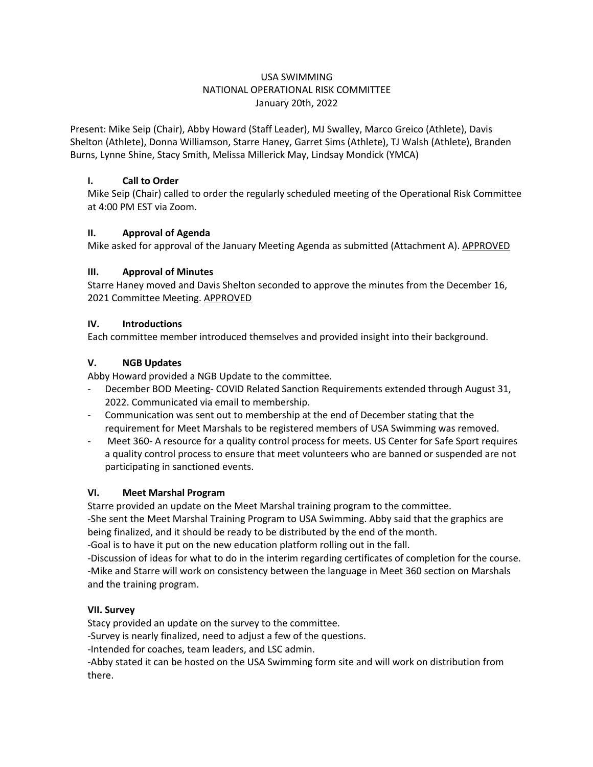## USA SWIMMING NATIONAL OPERATIONAL RISK COMMITTEE January 20th, 2022

Present: Mike Seip (Chair), Abby Howard (Staff Leader), MJ Swalley, Marco Greico (Athlete), Davis Shelton (Athlete), Donna Williamson, Starre Haney, Garret Sims (Athlete), TJ Walsh (Athlete), Branden Burns, Lynne Shine, Stacy Smith, Melissa Millerick May, Lindsay Mondick (YMCA)

## **I. Call to Order**

Mike Seip (Chair) called to order the regularly scheduled meeting of the Operational Risk Committee at 4:00 PM EST via Zoom.

# **II. Approval of Agenda**

Mike asked for approval of the January Meeting Agenda as submitted (Attachment A). APPROVED

## **III. Approval of Minutes**

Starre Haney moved and Davis Shelton seconded to approve the minutes from the December 16, 2021 Committee Meeting. APPROVED

## **IV. Introductions**

Each committee member introduced themselves and provided insight into their background.

## **V. NGB Updates**

Abby Howard provided a NGB Update to the committee.

- December BOD Meeting- COVID Related Sanction Requirements extended through August 31, 2022. Communicated via email to membership.
- Communication was sent out to membership at the end of December stating that the requirement for Meet Marshals to be registered members of USA Swimming was removed.
- Meet 360- A resource for a quality control process for meets. US Center for Safe Sport requires a quality control process to ensure that meet volunteers who are banned or suspended are not participating in sanctioned events.

## **VI. Meet Marshal Program**

Starre provided an update on the Meet Marshal training program to the committee.

-She sent the Meet Marshal Training Program to USA Swimming. Abby said that the graphics are being finalized, and it should be ready to be distributed by the end of the month.

-Goal is to have it put on the new education platform rolling out in the fall.

-Discussion of ideas for what to do in the interim regarding certificates of completion for the course. -Mike and Starre will work on consistency between the language in Meet 360 section on Marshals and the training program.

# **VII. Survey**

Stacy provided an update on the survey to the committee.

-Survey is nearly finalized, need to adjust a few of the questions.

-Intended for coaches, team leaders, and LSC admin.

-Abby stated it can be hosted on the USA Swimming form site and will work on distribution from there.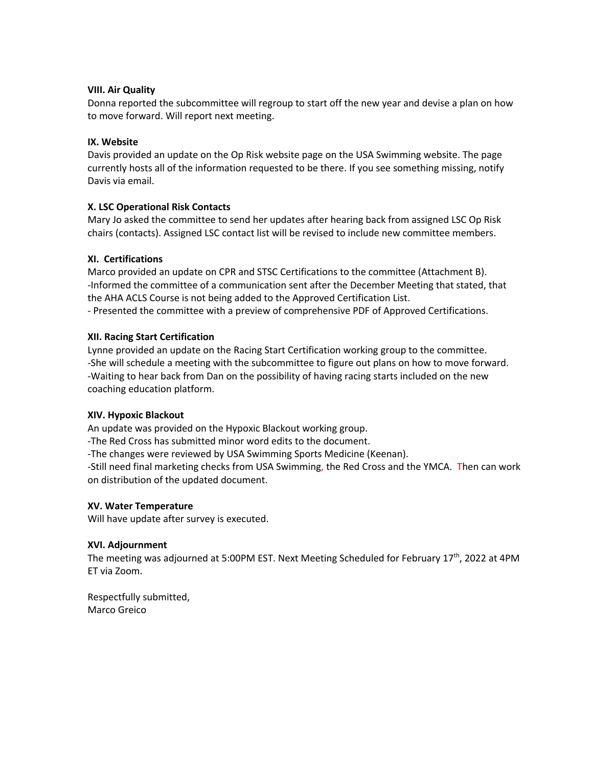## **VIII. Air Quality**

Donna reported the subcommittee will regroup to start off the new year and devise a plan on how to move forward. Will report next meeting.

### **IX. Website**

Davis provided an update on the Op Risk website page on the USA Swimming website. The page currently hosts all of the information requested to be there. If you see something missing, notify Davis via email.

### **X. LSC Operational Risk Contacts**

Mary Jo asked the committee to send her updates after hearing back from assigned LSC Op Risk chairs (contacts). Assigned LSC contact list will be revised to include new committee members.

### **XI. Certifications**

Marco provided an update on CPR and STSC Certifications to the committee (Attachment B). -Informed the committee of a communication sent after the December Meeting that stated, that the AHA ACLS Course is not being added to the Approved Certification List. - Presented the committee with a preview of comprehensive PDF of Approved Certifications.

### **XII. Racing Start Certification**

Lynne provided an update on the Racing Start Certification working group to the committee. -She will schedule a meeting with the subcommittee to figure out plans on how to move forward. -Waiting to hear back from Dan on the possibility of having racing starts included on the new coaching education platform.

#### **XIV. Hypoxic Blackout**

An update was provided on the Hypoxic Blackout working group.

-The Red Cross has submitted minor word edits to the document.

-The changes were reviewed by USA Swimming Sports Medicine (Keenan).

-Still need final marketing checks from USA Swimming, the Red Cross and the YMCA. Then can work on distribution of the updated document.

#### **XV. Water Temperature**

Will have update after survey is executed.

#### **XVI. Adjournment**

The meeting was adjourned at 5:00PM EST. Next Meeting Scheduled for February 17<sup>th</sup>, 2022 at 4PM ET via Zoom.

Respectfully submitted, Marco Greico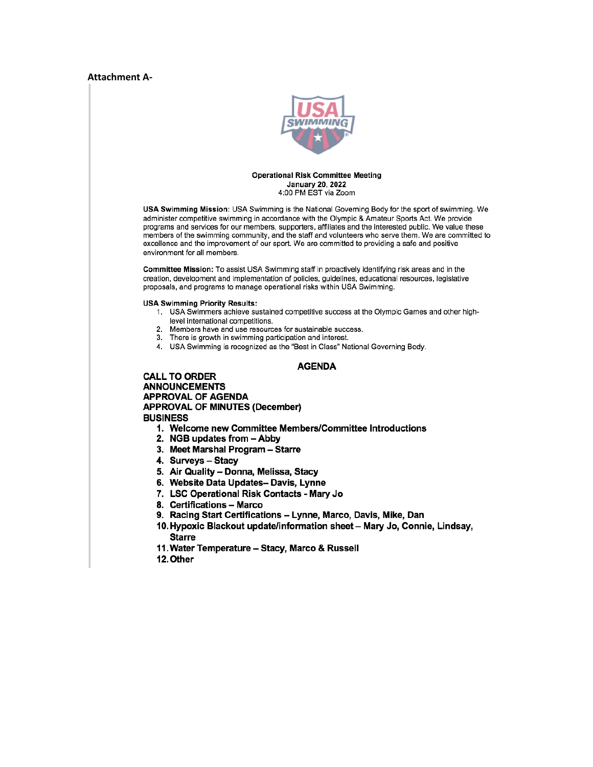#### **Attachment A-**



#### **Operational Risk Committee Meeting January 20, 2022** 4:00 PM EST via Zoom

USA Swimming Mission: USA Swimming is the National Governing Body for the sport of swimming. We administer competitive swimming in accordance with the Olympic & Amateur Sports Act. We provide programs and services for our members, supporters, affiliates and the interested public. We value these members of the swimming community, and the staff and volunteers who serve them. We are committed to excellence and the improvement of our sport. We are committed to providing a safe and positive environment for all members.

Committee Mission: To assist USA Swimming staff in proactively identifying risk areas and in the creation, development and implementation of policies, guidelines, educational resources, legislative proposals, and programs to manage operational risks within USA Swimming.

#### **USA Swimming Priority Results:**

- 1. USA Swimmers achieve sustained competitive success at the Olympic Games and other highlevel international competitions.
- 2. Members have and use resources for sustainable success.
- 3. There is growth in swimming participation and interest.
- 4. USA Swimming is recognized as the "Best in Class" National Governing Body.

#### **AGENDA**

**CALL TO ORDER ANNOUNCEMENTS APPROVAL OF AGENDA APPROVAL OF MINUTES (December) BUSINESS** 

- 1. Welcome new Committee Members/Committee Introductions
- 2. NGB updates from Abby
- 3. Meet Marshal Program Starre
- 4. Surveys Stacy
- 5. Air Quality Donna, Melissa, Stacy
- 6. Website Data Updates- Davis, Lynne
- 7. LSC Operational Risk Contacts Mary Jo
- 8. Certifications Marco
- 9. Racing Start Certifications Lynne, Marco, Davis, Mike, Dan
- 10. Hypoxic Blackout update/information sheet Mary Jo, Connie, Lindsay, **Starre**
- 11. Water Temperature Stacy, Marco & Russell
- 12. Other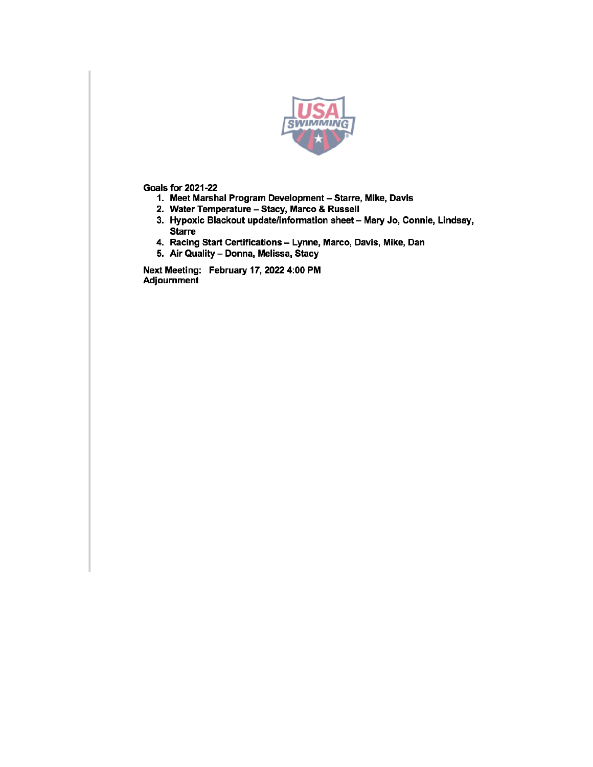

**Goals for 2021-22** 

- 1. Meet Marshal Program Development Starre, Mike, Davis
- 2. Water Temperature Stacy, Marco & Russell
- 3. Hypoxic Blackout update/information sheet Mary Jo, Connie, Lindsay, **Starre**
- 4. Racing Start Certifications Lynne, Marco, Davis, Mike, Dan
- 5. Air Quality Donna, Melissa, Stacy

Next Meeting: February 17, 2022 4:00 PM Adjournment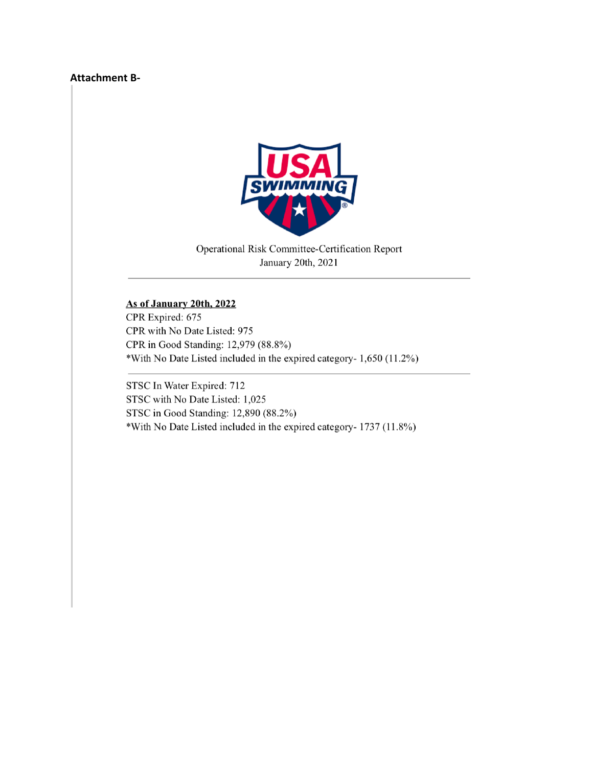## **Attachment B-**



Operational Risk Committee-Certification Report January 20th, 2021

# As of January 20th, 2022

CPR Expired: 675 CPR with No Date Listed: 975 CPR in Good Standing: 12,979 (88.8%) \*With No Date Listed included in the expired category- 1,650 (11.2%)

STSC In Water Expired: 712 STSC with No Date Listed: 1,025 STSC in Good Standing: 12,890 (88.2%) \*With No Date Listed included in the expired category- 1737 (11.8%)